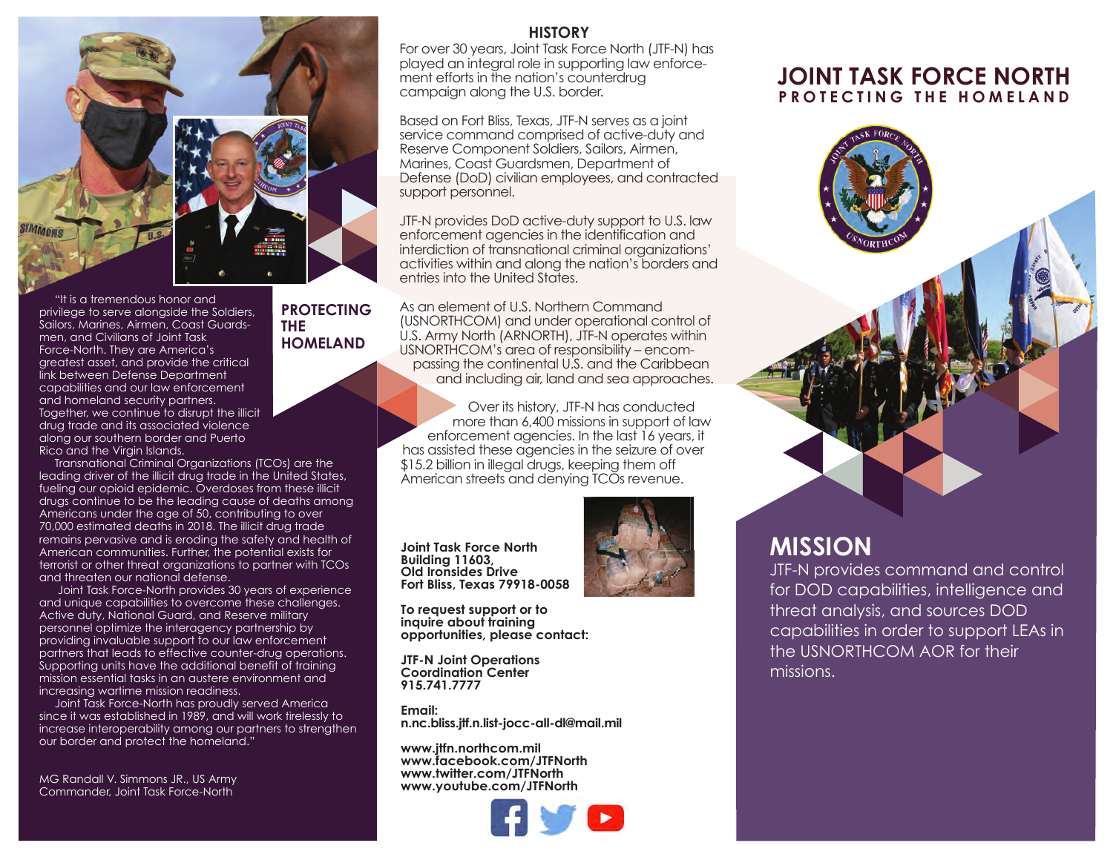

**PROTECTING**

**HOMELAND**

**THE**

 "It is a tremendous honor and privilege to serve alongside the Soldiers, Sailors, Marines, Airmen, Coast Guardsmen, and Civilians of Joint Task Force-North. They are America's greatest asset, and provide the critical link between Defense Department capabilities and our law enforcement and homeland security partners. Together, we continue to disrupt the illicit drug trade and its associated violence along our southern border and Puerto Rico and the Virgin Islands.

 Transnational Criminal Organizations (TCOs) are the leading driver of the illicit drug trade in the United States, fueling our opioid epidemic. Overdoses from these illicit drugs continue to be the leading cause of deaths among Americans under the age of 50, contributing to over 70,000 estimated deaths in 2018. The illicit drug trade remains pervasive and is eroding the safety and health of American communities. Further, the potential exists for terrorist or other threat organizations to partner with TCOs and threaten our national defense.

 Joint Task Force-North provides 30 years of experience and unique capabilities to overcome these challenges. Active duty, National Guard, and Reserve military personnel optimize the interagency partnership by providing invaluable support to our law enforcement partners that leads to effective counter-drug operations. Supporting units have the additional benefit of training mission essential tasks in an austere environment and increasing wartime mission readiness.

 Joint Task Force-North has proudly served America since it was established in 1989, and will work tirelessly to increase interoperability among our partners to strengthen our border and protect the homeland."

MG Randall V. Simmons JR., US Army Commander, Joint Task Force-North

### **HISTORY**

For over 30 years, Joint Task Force North (JTF-N) has played an integral role in supporting law enforcement efforts in the nation's counterdrug campaign along the U.S. border.

Based on Fort Bliss, Texas, JTF-N serves as a joint service command comprised of active-duty and Reserve Component Soldiers, Sailors, Airmen, Marines, Coast Guardsmen, Department of Defense (DoD) civilian employees, and contracted support personnel.

JTF-N provides DoD active-duty support to U.S. law enforcement agencies in the identification and interdiction of transnational criminal organizations' activities within and along the nation's borders and entries into the United States.

As an element of U.S. Northern Command (USNORTHCOM) and under operational control of U.S. Army North (ARNORTH), JTF-N operates within USNORTHCOM's area of responsibility – encompassing the continental U.S. and the Caribbean and including air, land and sea approaches.

Over its history, JTF-N has conducted more than 6,400 missions in support of law enforcement agencies. In the last 16 years, it has assisted these agencies in the seizure of over \$15.2 billion in illegal drugs, keeping them off American streets and denying TCOs revenue.

**Joint Task Force North Building 11603, Old Ironsides Drive Fort Bliss, Texas 79918-0058**



**To request support or to inquire about training opportunities, please contact:**

**JTF-N Joint Operations Coordination Center 915.741.7777**

**Email: n.nc.bliss.jtf.n.list-jocc-all-dl@mail.mil**

**www.jtfn.northcom.mil www.facebook.com/JTFNorth www.twitter.com/JTFNorth www.youtube.com/JTFNorth**



## **JOINT TASK FORCE NORTH PROTECTING THE HOMELAND**



# **MISSION**

JTF-N provides command and control for DOD capabilities, intelligence and threat analysis, and sources DOD capabilities in order to support LEAs in the USNORTHCOM AOR for their missions.